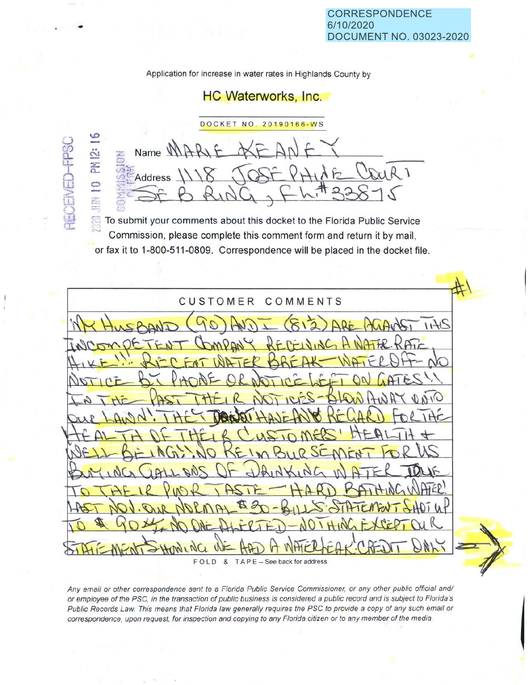Application for increase in water rates in Highlands County by

## HC Waterworks, Inc.

DOCKET NO. 20190166-WS ;,.\_) *(I)*  Name **MAR** PM 12: e<br>Li I Address 0 w **Olley** > ~j *r*  ·n

a.:

..

To submit your comments about this docket to the Florida Public Service Commission, please complete this comment form and return it by mail, or fax it to 1-800-511-0809. Correspondence will be placed in the docket file.

 $\uparrow$ CUSTOMER COMMENTS  $2411$ F O L D & T A P E -- See back for address

Any email or other correspondence sent to a Florida Public Service Commissioner, or any other public official and/ or employee of the PSC, in the transaction of public business is considered a public record and is subject to Florida's Public Records Law. This means that Florida law generally requires the PSC to provide a copy of any such email or correspondence, upon request, for inspection and copying to any Florida citizen or to any member of the media.